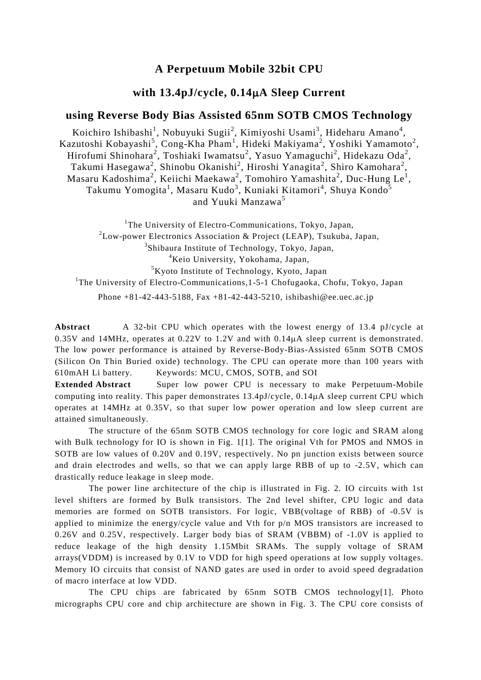## **A Perpetuum Mobile 32bit CPU**

## **with 13.4pJ/cycle, 0.14**µ**A Sleep Current**

## **using Reverse Body Bias Assisted 65nm SOTB CMOS Technology**

Koichiro Ishibashi<sup>1</sup>, Nobuyuki Sugii<sup>2</sup>, Kimiyoshi Usami<sup>3</sup>, Hideharu Amano<sup>4</sup>, Kazutoshi Kobayashi $^5$ , Cong-Kha Pham $^1$ , Hideki Makiyama $^2$ , Yoshiki Yamamoto $^2$ , Hirofumi Shinohara<sup>2</sup>, Toshiaki Iwamatsu<sup>2</sup>, Yasuo Yamaguchi<sup>2</sup>, Hidekazu Oda<sup>2</sup>, Takumi Hasegawa<sup>2</sup>, Shinobu Okanishi<sup>2</sup>, Hiroshi Yanagita<sup>2</sup>, Shiro Kamohara<sup>2</sup>, Masaru Kadoshima<sup>2</sup>, Keiichi Maekawa<sup>2</sup>, Tomohiro Yamashita<sup>2</sup>, Duc-Hung Le<sup>1</sup>, Takumu Yomogita<sup>1</sup>, Masaru Kudo<sup>3</sup>, Kuniaki Kitamori<sup>4</sup>, Shuya Kondo<sup>5</sup> and Yuuki Manzawa<sup>5</sup>

<sup>1</sup>The University of Electro-Communications, Tokyo, Japan,  $2$ Low-power Electronics Association & Project (LEAP), Tsukuba, Japan, 3 Shibaura Institute of Technology, Tokyo, Japan, 4 Keio University, Yokohama, Japan, 5 Kyoto Institute of Technology, Kyoto, Japan <sup>1</sup>The University of Electro-Communications, 1-5-1 Chofugaoka, Chofu, Tokyo, Japan Phone  $+81-42-443-5188$ , Fax  $+81-42-443-5210$ , ishibashi@ee.uec.ac.jp

**Abstract** A 32-bit CPU which operates with the lowest energy of 13.4 pJ/cycle at 0.35V and 14MHz, operates at 0.22V to 1.2V and with 0.14µA sleep current is demonstrated. The low power performance is attained by Reverse-Body-Bias-Assisted 65nm SOTB CMOS (Silicon On Thin Buried oxide) technology. The CPU can operate more than 100 years with 610mAH Li battery. Keywords: MCU, CMOS, SOTB, and SOI

**Extended Abstract** Super low power CPU is necessary to make Perpetuum-Mobile computing into reality. This paper demonstrates 13.4pJ/cycle, 0.14µA sleep current CPU which operates at 14MHz at 0.35V, so that super low power operation and low sleep current are attained simultaneously.

The structure of the 65nm SOTB CMOS technology for core logic and SRAM along with Bulk technology for IO is shown in Fig. 1[1]. The original Vth for PMOS and NMOS in SOTB are low values of 0.20V and 0.19V, respectively. No pn junction exists between source and drain electrodes and wells, so that we can apply large RBB of up to -2.5V, which can drastically reduce leakage in sleep mode.

The power line architecture of the chip is illustrated in Fig. 2. IO circuits with 1st level shifters are formed by Bulk transistors. The 2nd level shifter, CPU logic and data memories are formed on SOTB transistors. For logic, VBB(voltage of RBB) of -0.5V is applied to minimize the energy/cycle value and Vth for p/n MOS transistors are increased to 0.26V and 0.25V, respectively. Larger body bias of SRAM (VBBM) of -1.0V is applied to reduce leakage of the high density 1.15Mbit SRAMs. The supply voltage of SRAM arrays(VDDM) is increased by 0.1V to VDD for high speed operations at low supply voltages. Memory IO circuits that consist of NAND gates are used in order to avoid speed degradation of macro interface at low VDD.

The CPU chips are fabricated by 65nm SOTB CMOS technology[1]. Photo micrographs CPU core and chip architecture are shown in Fig. 3. The CPU core consists of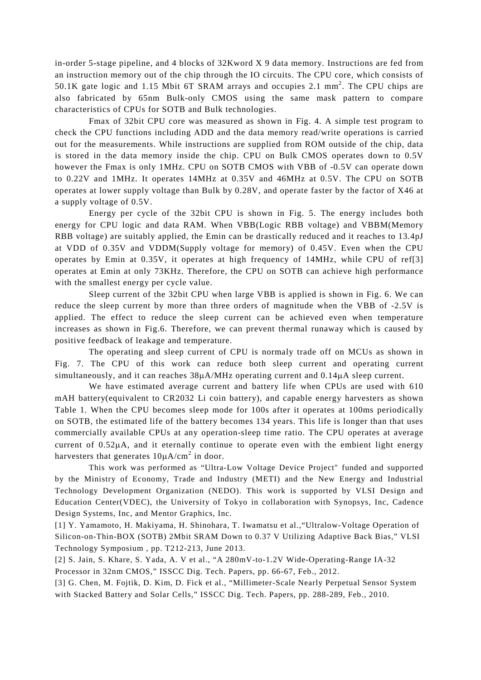in-order 5-stage pipeline, and 4 blocks of 32Kword X 9 data memory. Instructions are fed from an instruction memory out of the chip through the IO circuits. The CPU core, which consists of 50.1K gate logic and 1.15 Mbit 6T SRAM arrays and occupies 2.1 mm<sup>2</sup>. The CPU chips are also fabricated by 65nm Bulk-only CMOS using the same mask pattern to compare characteristics of CPUs for SOTB and Bulk technologies.

Fmax of 32bit CPU core was measured as shown in Fig. 4. A simple test program to check the CPU functions including ADD and the data memory read/write operations is carried out for the measurements. While instructions are supplied from ROM outside of the chip, data is stored in the data memory inside the chip. CPU on Bulk CMOS operates down to 0.5V however the Fmax is only 1MHz. CPU on SOTB CMOS with VBB of -0.5V can operate down to 0.22V and 1MHz. It operates 14MHz at 0.35V and 46MHz at 0.5V. The CPU on SOTB operates at lower supply voltage than Bulk by 0.28V, and operate faster by the factor of X46 at a supply voltage of 0.5V.

Energy per cycle of the 32bit CPU is shown in Fig. 5. The energy includes both energy for CPU logic and data RAM. When VBB(Logic RBB voltage) and VBBM(Memory RBB voltage) are suitably applied, the Emin can be drastically reduced and it reaches to 13.4pJ at VDD of 0.35V and VDDM(Supply voltage for memory) of 0.45V. Even when the CPU operates by Emin at 0.35V, it operates at high frequency of 14MHz, while CPU of ref[3] operates at Emin at only 73KHz. Therefore, the CPU on SOTB can achieve high performance with the smallest energy per cycle value.

Sleep current of the 32bit CPU when large VBB is applied is shown in Fig. 6. We can reduce the sleep current by more than three orders of magnitude when the VBB of -2.5V is applied. The effect to reduce the sleep current can be achieved even when temperature increases as shown in Fig.6. Therefore, we can prevent thermal runaway which is caused by positive feedback of leakage and temperature.

The operating and sleep current of CPU is normaly trade off on MCUs as shown in Fig. 7. The CPU of this work can reduce both sleep current and operating current simultaneously, and it can reaches  $38\mu$ A/MHz operating current and 0.14 $\mu$ A sleep current.

We have estimated average current and battery life when CPUs are used with 610 mAH battery(equivalent to CR2032 Li coin battery), and capable energy harvesters as shown Table 1. When the CPU becomes sleep mode for 100s after it operates at 100ms periodically on SOTB, the estimated life of the battery becomes 134 years. This life is longer than that uses commercially available CPUs at any operation-sleep time ratio. The CPU operates at average current of  $0.52\mu$ A, and it eternally continue to operate even with the embient light energy harvesters that generates  $10\mu A/cm^2$  in door.

This work was performed as "Ultra-Low Voltage Device Project" funded and supported by the Ministry of Economy, Trade and Industry (METI) and the New Energy and Industrial Technology Development Organization (NEDO). This work is supported by VLSI Design and Education Center(VDEC), the University of Tokyo in collaboration with Synopsys, Inc, Cadence Design Systems, Inc, and Mentor Graphics, Inc.

[1] Y. Yamamoto, H. Makiyama, H. Shinohara, T. Iwamatsu et al.,"Ultralow-Voltage Operation of Silicon-on-Thin-BOX (SOTB) 2Mbit SRAM Down to 0.37 V Utilizing Adaptive Back Bias," VLSI Technology Symposium , pp. T212-213, June 2013.

[2] S. Jain, S. Khare, S. Yada, A. V et al., "A 280mV-to-1.2V Wide-Operating-Range IA-32 Processor in 32nm CMOS," ISSCC Dig. Tech. Papers, pp. 66-67, Feb., 2012.

[3] G. Chen, M. Fojtik, D. Kim, D. Fick et al., "Millimeter-Scale Nearly Perpetual Sensor System with Stacked Battery and Solar Cells," ISSCC Dig. Tech. Papers, pp. 288-289, Feb., 2010.